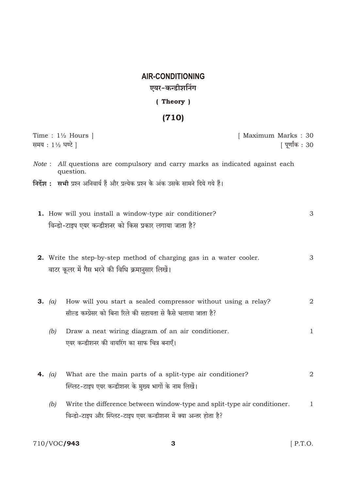## **AIR-CONDITIONING** एयर-कन्डीशनिंग (Theory)

## $(710)$

| समय: 1½ घण्टे | Time : $1\frac{1}{2}$ Hours ]                                                                                                                | [ Maximum Marks: 30<br>  पूर्णांक : 30 |
|---------------|----------------------------------------------------------------------------------------------------------------------------------------------|----------------------------------------|
|               | Note : All questions are compulsory and carry marks as indicated against each<br>question.                                                   |                                        |
|               | निर्देश : सभी प्रश्न अनिवार्य हैं और प्रत्येक प्रश्न के अंक उसके सामने दिये गये हैं।                                                         |                                        |
|               | 1. How will you install a window-type air conditioner?<br>विन्डो-टाइप एयर कन्डीशनर को किस प्रकार लगाया जाता है?                              | 3                                      |
|               | 2. Write the step-by-step method of charging gas in a water cooler.<br>वाटर कूलर में गैस भरने की विधि क्रमानुसार लिखें।                      | 3                                      |
| 3. (a)        | How will you start a sealed compressor without using a relay?<br>सील्ड कम्प्रेसर को बिना रिले की सहायता से कैसे चलाया जाता है?               | 2                                      |
| (b)           | Draw a neat wiring diagram of an air conditioner.<br>एयर कन्डीशनर की वायरिंग का साफ चित्र बनाएँ।                                             | $\mathbf{1}$                           |
| 4. $(a)$      | What are the main parts of a split-type air conditioner?<br>स्प्लिट-टाइप एयर कन्डीशनर के मुख्य भागों के नाम लिखें।                           | 2                                      |
| (b)           | Write the difference between window-type and split-type air conditioner.<br>विन्डो-टाइप और स्प्लिट-टाइप एयर कन्डीशनर में क्या अन्तर होता है? | $\mathbf{1}$                           |

710/VOC**/943**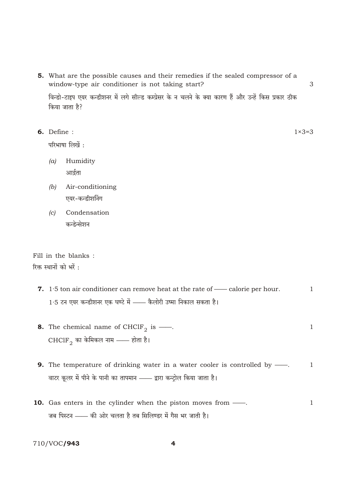5. What are the possible causes and their remedies if the sealed compressor of a window-type air conditioner is not taking start?

विन्डो-टाइप एयर कन्डीशनर में लगे सील्ड कम्प्रेसर के न चलने के क्या कारण हैं और उन्हें किस प्रकार ठीक किया जाता है?

| 6. Define : |                                                                                                                                  | $1\times3=3$ |
|-------------|----------------------------------------------------------------------------------------------------------------------------------|--------------|
|             | परिभाषा लिखें:                                                                                                                   |              |
| (a)         | Humidity                                                                                                                         |              |
|             | आर्द्रता                                                                                                                         |              |
| (b)         | Air-conditioning                                                                                                                 |              |
|             | एयर-कन्डीशनिंग                                                                                                                   |              |
| (c)         | Condensation                                                                                                                     |              |
|             | कन्डेन्सेशन                                                                                                                      |              |
|             |                                                                                                                                  |              |
|             | Fill in the blanks :                                                                                                             |              |
|             | रिक्त स्थानों को भरें :                                                                                                          |              |
|             |                                                                                                                                  |              |
|             | 7. $1.5$ ton air conditioner can remove heat at the rate of $\sim$ calorie per hour.                                             | $\mathbf{1}$ |
|             | 1.5 टन एयर कन्डीशनर एक घण्टे में —— कैलोरी उष्मा निकाल सकता है।                                                                  |              |
|             |                                                                                                                                  |              |
|             | <b>8.</b> The chemical name of CHClF <sub>2</sub> is ——.                                                                         | $\mathbf{1}$ |
|             | $CHClF_{2}$ का केमिकल नाम —— होता है।                                                                                            |              |
|             |                                                                                                                                  |              |
|             | <b>9.</b> The temperature of drinking water in a water cooler is controlled by $\frac{1}{1}$ .                                   | 1            |
|             | वाटर कूलर में पीने के पानी का तापमान —— द्वारा कन्ट्रोल किया जाता है।                                                            |              |
|             |                                                                                                                                  | $\mathbf{1}$ |
|             | <b>10.</b> Gas enters in the cylinder when the piston moves from —<br>जब पिस्टन —— की ओर चलता है तब सिलिण्डर में गैस भर जाती है। |              |
|             |                                                                                                                                  |              |
|             |                                                                                                                                  |              |

 $\overline{4}$ 

 $\mathfrak{Z}$